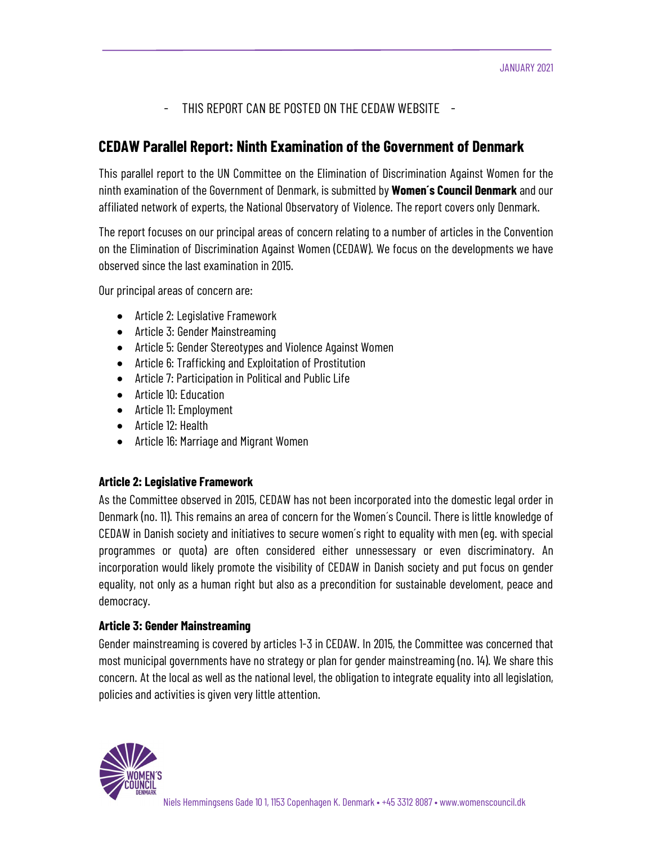- THIS REPORT CAN BE POSTED ON THE CEDAW WEBSITE -

# CEDAW Parallel Report: Ninth Examination of the Government of Denmark

This parallel report to the UN Committee on the Elimination of Discrimination Against Women for the ninth examination of the Government of Denmark, is submitted by **Women's Council Denmark** and our affiliated network of experts, the National Observatory of Violence. The report covers only Denmark.

The report focuses on our principal areas of concern relating to a number of articles in the Convention on the Elimination of Discrimination Against Women (CEDAW). We focus on the developments we have observed since the last examination in 2015.

Our principal areas of concern are:

- Article 2: Legislative Framework
- Article 3: Gender Mainstreaming
- Article 5: Gender Stereotypes and Violence Against Women
- Article 6: Trafficking and Exploitation of Prostitution
- Article 7: Participation in Political and Public Life
- Article 10: Education
- Article 11: Employment
- Article 12: Health
- Article 16: Marriage and Migrant Women

# Article 2: Legislative Framework

As the Committee observed in 2015, CEDAW has not been incorporated into the domestic legal order in Denmark (no. 11). This remains an area of concern for the Women´s Council. There is little knowledge of CEDAW in Danish society and initiatives to secure women´s right to equality with men (eg. with special programmes or quota) are often considered either unnessessary or even discriminatory. An incorporation would likely promote the visibility of CEDAW in Danish society and put focus on gender equality, not only as a human right but also as a precondition for sustainable develoment, peace and democracy.

# Article 3: Gender Mainstreaming

Gender mainstreaming is covered by articles 1-3 in CEDAW. In 2015, the Committee was concerned that most municipal governments have no strategy or plan for gender mainstreaming (no. 14). We share this concern. At the local as well as the national level, the obligation to integrate equality into all legislation, policies and activities is given very little attention.

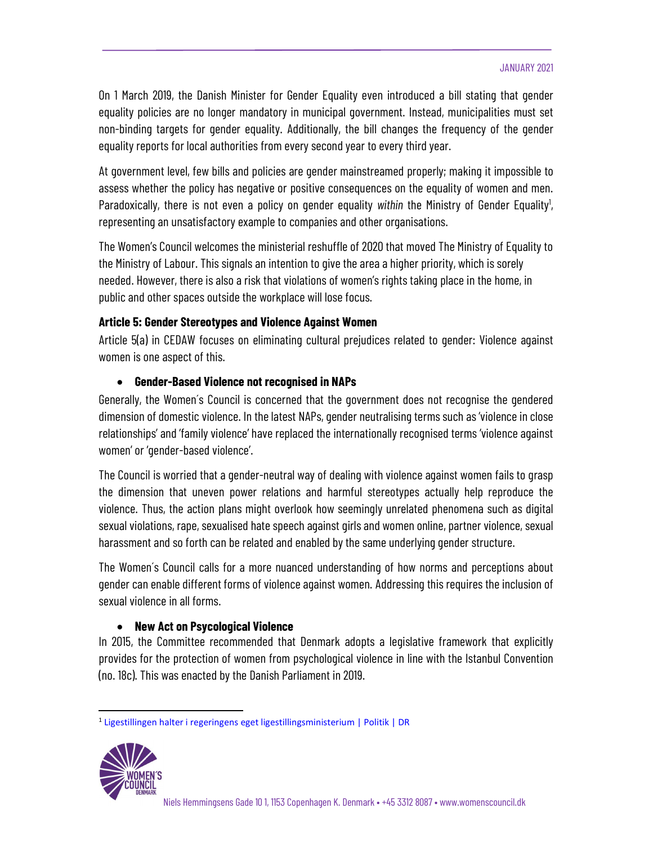On 1 March 2019, the Danish Minister for Gender Equality even introduced a bill stating that gender equality policies are no longer mandatory in municipal government. Instead, municipalities must set non-binding targets for gender equality. Additionally, the bill changes the frequency of the gender equality reports for local authorities from every second year to every third year.

At government level, few bills and policies are gender mainstreamed properly; making it impossible to assess whether the policy has negative or positive consequences on the equality of women and men. Paradoxically, there is not even a policy on gender equality *within* the Ministry of Gender Equality<sup>1</sup>,<br>representing an unsatisfactory example to companies and other organisations.

The Women's Council welcomes the ministerial reshuffle of 2020 that moved The Ministry of Equality to the Ministry of Labour. This signals an intention to give the area a higher priority, which is sorely needed. However, there is also a risk that violations of women's rights taking place in the home, in public and other spaces outside the workplace will lose focus.

# Article 5: Gender Stereotypes and Violence Against Women

Article 5(a) in CEDAW focuses on eliminating cultural prejudices related to gender: Violence against women is one aspect of this.

# Gender-Based Violence not recognised in NAPs

Generally, the Women´s Council is concerned that the government does not recognise the gendered dimension of domestic violence. In the latest NAPs, gender neutralising terms such as 'violence in close relationships' and 'family violence' have replaced the internationally recognised terms 'violence against women' or 'gender-based violence'.

The Council is worried that a gender-neutral way of dealing with violence against women fails to grasp the dimension that uneven power relations and harmful stereotypes actually help reproduce the violence. Thus, the action plans might overlook how seemingly unrelated phenomena such as digital sexual violations, rape, sexualised hate speech against girls and women online, partner violence, sexual harassment and so forth can be related and enabled by the same underlying gender structure.

The Women´s Council calls for a more nuanced understanding of how norms and perceptions about gender can enable different forms of violence against women. Addressing this requires the inclusion of sexual violence in all forms.

# • New Act on Psycological Violence

In 2015, the Committee recommended that Denmark adopts a legislative framework that explicitly provides for the protection of women from psychological violence in line with the Istanbul Convention (no. 18c). This was enacted by the Danish Parliament in 2019.

<sup>1</sup> Ligestillingen halter i regeringens eget ligestillingsministerium | Politik | DR

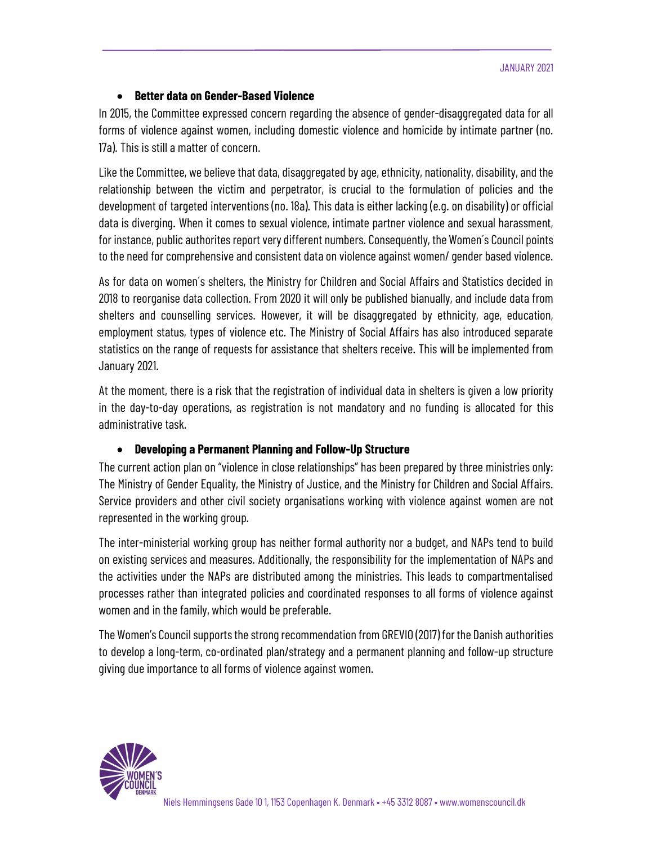## Better data on Gender-Based Violence

In 2015, the Committee expressed concern regarding the absence of gender-disaggregated data for all forms of violence against women, including domestic violence and homicide by intimate partner (no. 17a). This is still a matter of concern.

Like the Committee, we believe that data, disaggregated by age, ethnicity, nationality, disability, and the relationship between the victim and perpetrator, is crucial to the formulation of policies and the development of targeted interventions (no. 18a). This data is either lacking (e.g. on disability) or official data is diverging. When it comes to sexual violence, intimate partner violence and sexual harassment, for instance, public authorites report very different numbers. Consequently, the Women´s Council points to the need for comprehensive and consistent data on violence against women/ gender based violence.

As for data on women´s shelters, the Ministry for Children and Social Affairs and Statistics decided in 2018 to reorganise data collection. From 2020 it will only be published bianually, and include data from shelters and counselling services. However, it will be disaggregated by ethnicity, age, education, employment status, types of violence etc. The Ministry of Social Affairs has also introduced separate statistics on the range of requests for assistance that shelters receive. This will be implemented from January 2021.

At the moment, there is a risk that the registration of individual data in shelters is given a low priority in the day-to-day operations, as registration is not mandatory and no funding is allocated for this administrative task.

#### Developing a Permanent Planning and Follow-Up Structure

The current action plan on "violence in close relationships" has been prepared by three ministries only: The Ministry of Gender Equality, the Ministry of Justice, and the Ministry for Children and Social Affairs. Service providers and other civil society organisations working with violence against women are not represented in the working group.

The inter-ministerial working group has neither formal authority nor a budget, and NAPs tend to build on existing services and measures. Additionally, the responsibility for the implementation of NAPs and the activities under the NAPs are distributed among the ministries. This leads to compartmentalised processes rather than integrated policies and coordinated responses to all forms of violence against women and in the family, which would be preferable.

The Women's Council supports the strong recommendation from GREVIO (2017) for the Danish authorities to develop a long-term, co-ordinated plan/strategy and a permanent planning and follow-up structure giving due importance to all forms of violence against women.

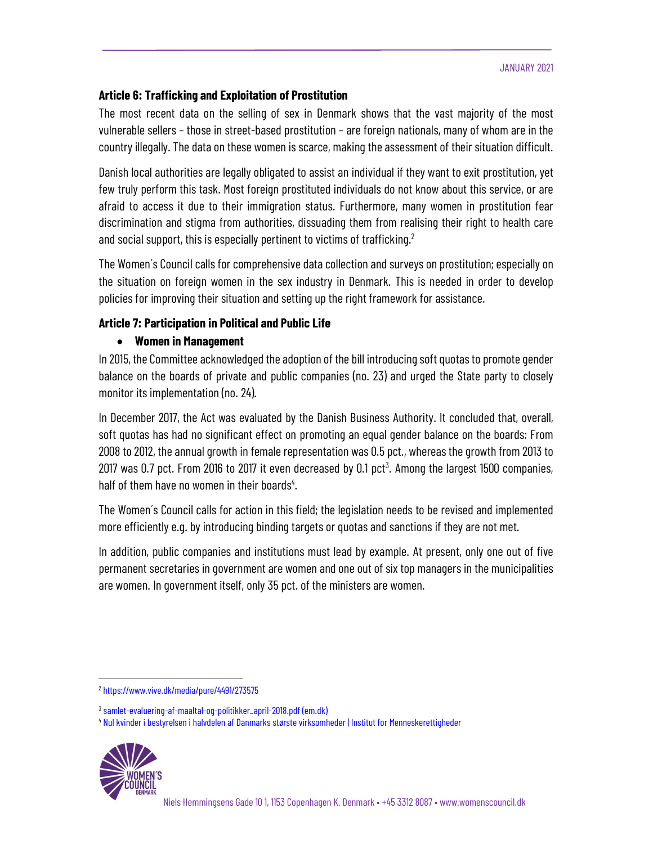#### Article 6: Trafficking and Exploitation of Prostitution

The most recent data on the selling of sex in Denmark shows that the vast majority of the most vulnerable sellers – those in street-based prostitution – are foreign nationals, many of whom are in the country illegally. The data on these women is scarce, making the assessment of their situation difficult.

Danish local authorities are legally obligated to assist an individual if they want to exit prostitution, yet few truly perform this task. Most foreign prostituted individuals do not know about this service, or are afraid to access it due to their immigration status. Furthermore, many women in prostitution fear discrimination and stigma from authorities, dissuading them from realising their right to health care and social support, this is especially pertinent to victims of trafficking.<sup>2</sup>

 The Women´s Council calls for comprehensive data collection and surveys on prostitution; especially on the situation on foreign women in the sex industry in Denmark. This is needed in order to develop policies for improving their situation and setting up the right framework for assistance.

# Article 7: Participation in Political and Public Life

## Women in Management

In 2015, the Committee acknowledged the adoption of the bill introducing soft quotas to promote gender balance on the boards of private and public companies (no. 23) and urged the State party to closely monitor its implementation (no. 24).

In December 2017, the Act was evaluated by the Danish Business Authority. It concluded that, overall, soft quotas has had no significant effect on promoting an equal gender balance on the boards: From 2008 to 2012, the annual growth in female representation was 0.5 pct., whereas the growth from 2013 to 2017 was 0.7 pct. From 2016 to 2017 it even decreased by 0.1 pct $^3$ . Among the largest 1500 companies, half of them have no women in their boards<sup>4</sup>.

. The Women´s Council calls for action in this field; the legislation needs to be revised and implemented more efficiently e.g. by introducing binding targets or quotas and sanctions if they are not met.

In addition, public companies and institutions must lead by example. At present, only one out of five permanent secretaries in government are women and one out of six top managers in the municipalities are women. In government itself, only 35 pct. of the ministers are women.

<sup>4</sup> Nul kvinder i bestyrelsen i halvdelen af Danmarks største virksomheder | Institut for Menneskerettigheder



<sup>2</sup> https://www.vive.dk/media/pure/4491/273575

<sup>&</sup>lt;sup>3</sup> samlet-evaluering-af-maaltal-og-politikker\_april-2018.pdf (em.dk)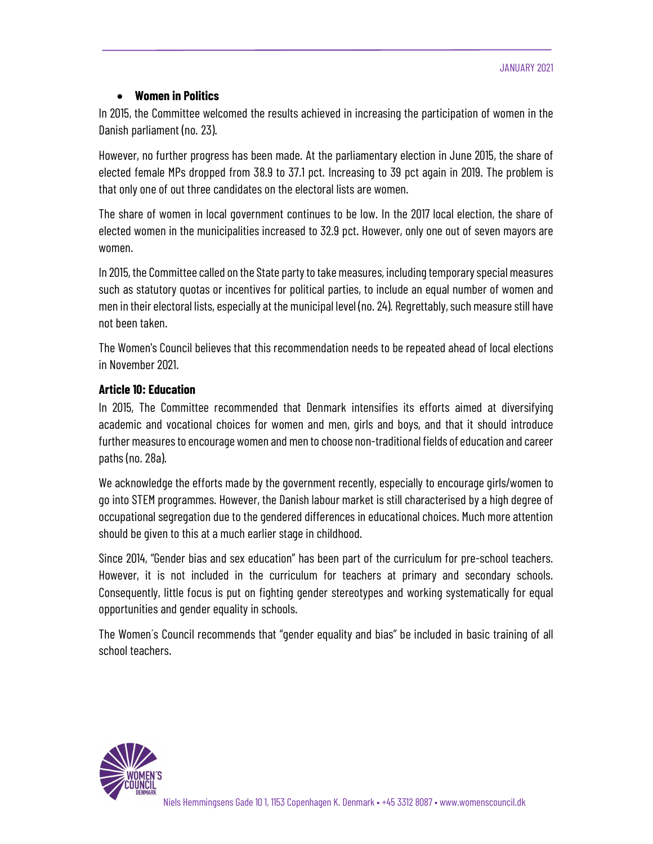## Women in Politics

In 2015, the Committee welcomed the results achieved in increasing the participation of women in the Danish parliament (no. 23).

However, no further progress has been made. At the parliamentary election in June 2015, the share of elected female MPs dropped from 38.9 to 37.1 pct. Increasing to 39 pct again in 2019. The problem is that only one of out three candidates on the electoral lists are women.

The share of women in local government continues to be low. In the 2017 local election, the share of elected women in the municipalities increased to 32.9 pct. However, only one out of seven mayors are women.

In 2015, the Committee called on the State party to take measures, including temporary special measures such as statutory quotas or incentives for political parties, to include an equal number of women and men in their electoral lists, especially at the municipal level (no. 24). Regrettably, such measure still have not been taken.

The Women's Council believes that this recommendation needs to be repeated ahead of local elections in November 2021.

## Article 10: Education

In 2015, The Committee recommended that Denmark intensifies its efforts aimed at diversifying academic and vocational choices for women and men, girls and boys, and that it should introduce further measures to encourage women and men to choose non-traditional fields of education and career paths (no. 28a).

We acknowledge the efforts made by the government recently, especially to encourage girls/women to go into STEM programmes. However, the Danish labour market is still characterised by a high degree of occupational segregation due to the gendered differences in educational choices. Much more attention should be given to this at a much earlier stage in childhood.

Since 2014, "Gender bias and sex education" has been part of the curriculum for pre-school teachers. However, it is not included in the curriculum for teachers at primary and secondary schools. Consequently, little focus is put on fighting gender stereotypes and working systematically for equal opportunities and gender equality in schools.

The Women´s Council recommends that "gender equality and bias" be included in basic training of all school teachers.

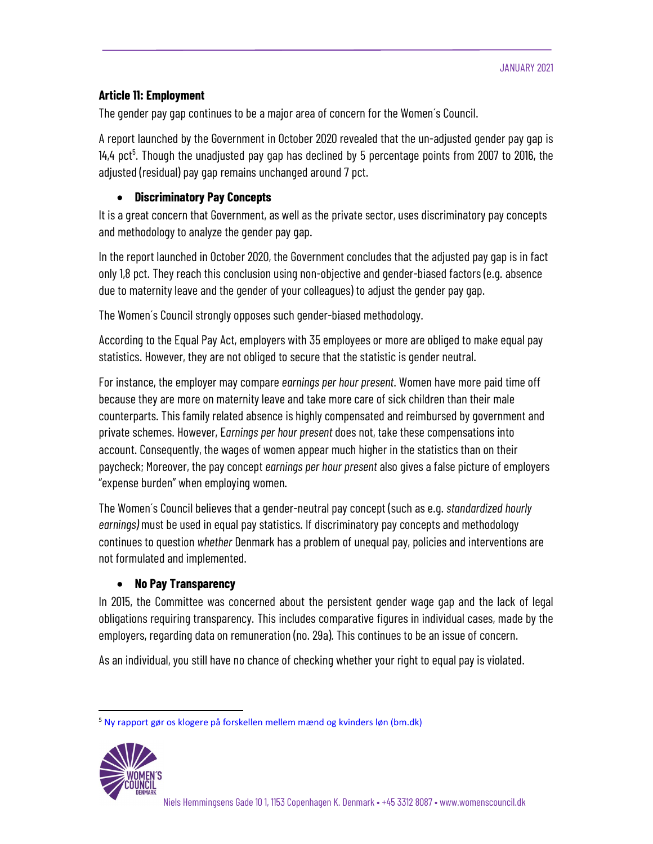## Article 11: Employment

The gender pay gap continues to be a major area of concern for the Women´s Council.

A report launched by the Government in October 2020 revealed that the un-adjusted gender pay gap is 14,4 pct<sup>5</sup>. Though the unadjusted pay gap has declined by 5 percentage points from 2007 to 2016, the adjusted (residual) pay gap remains unchanged around 7 pct.

## Discriminatory Pay Concepts

It is a great concern that Government, as well as the private sector, uses discriminatory pay concepts and methodology to analyze the gender pay gap.

In the report launched in October 2020, the Government concludes that the adjusted pay gap is in fact only 1,8 pct. They reach this conclusion using non-objective and gender-biased factors (e.g. absence due to maternity leave and the gender of your colleagues) to adjust the gender pay gap.

The Women´s Council strongly opposes such gender-biased methodology.

According to the Equal Pay Act, employers with 35 employees or more are obliged to make equal pay statistics. However, they are not obliged to secure that the statistic is gender neutral.

For instance, the employer may compare earnings per hour present. Women have more paid time off because they are more on maternity leave and take more care of sick children than their male counterparts. This family related absence is highly compensated and reimbursed by government and private schemes. However, Earnings per hour present does not, take these compensations into account. Consequently, the wages of women appear much higher in the statistics than on their paycheck; Moreover, the pay concept earnings per hour present also gives a false picture of employers "expense burden" when employing women.

The Women´s Council believes that a gender-neutral pay concept (such as e.g. standardized hourly earnings) must be used in equal pay statistics. If discriminatory pay concepts and methodology continues to question whether Denmark has a problem of unequal pay, policies and interventions are not formulated and implemented.

#### • No Pay Transparency

In 2015, the Committee was concerned about the persistent gender wage gap and the lack of legal obligations requiring transparency. This includes comparative figures in individual cases, made by the employers, regarding data on remuneration (no. 29a). This continues to be an issue of concern.

As an individual, you still have no chance of checking whether your right to equal pay is violated.

<sup>5</sup> Ny rapport gør os klogere på forskellen mellem mænd og kvinders løn (bm.dk)

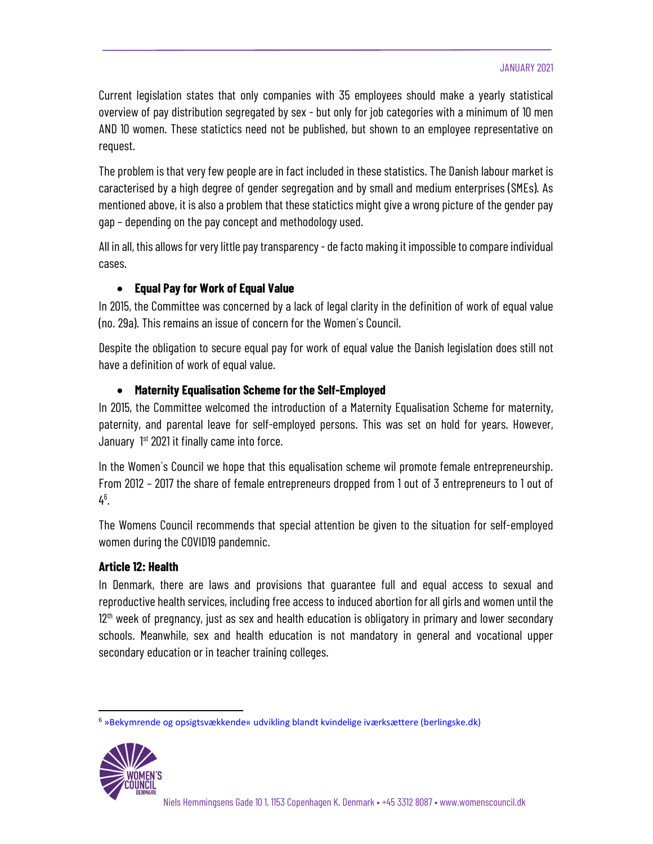#### JANUARY 2021

Current legislation states that only companies with 35 employees should make a yearly statistical overview of pay distribution segregated by sex - but only for job categories with a minimum of 10 men AND 10 women. These statictics need not be published, but shown to an employee representative on request.

The problem is that very few people are in fact included in these statistics. The Danish labour market is caracterised by a high degree of gender segregation and by small and medium enterprises (SMEs). As mentioned above, it is also a problem that these statictics might give a wrong picture of the gender pay gap – depending on the pay concept and methodology used.

All in all, this allows for very little pay transparency - de facto making it impossible to compare individual cases.

# Equal Pay for Work of Equal Value

In 2015, the Committee was concerned by a lack of legal clarity in the definition of work of equal value (no. 29a). This remains an issue of concern for the Women´s Council.

Despite the obligation to secure equal pay for work of equal value the Danish legislation does still not have a definition of work of equal value.

# Maternity Equalisation Scheme for the Self-Employed

In 2015, the Committee welcomed the introduction of a Maternity Equalisation Scheme for maternity, paternity, and parental leave for self-employed persons. This was set on hold for years. However, January <sup>1st</sup> 2021 it finally came into force.

In the Women's Council we hope that this equalisation scheme wil promote female entrepreneurship. From 2012 – 2017 the share of female entrepreneurs dropped from 1 out of 3 entrepreneurs to 1 out of  $4^{6}$ .

. The Womens Council recommends that special attention be given to the situation for self-employed women during the COVID19 pandemnic.

# Article 12: Health

In Denmark, there are laws and provisions that guarantee full and equal access to sexual and reproductive health services, including free access to induced abortion for all girls and women until the 12<sup>th</sup> week of pregnancy, just as sex and health education is obligatory in primary and lower secondary schools. Meanwhile, sex and health education is not mandatory in general and vocational upper secondary education or in teacher training colleges.

<sup>6</sup> »Bekymrende og opsigtsvækkende« udvikling blandt kvindelige iværksættere (berlingske.dk)